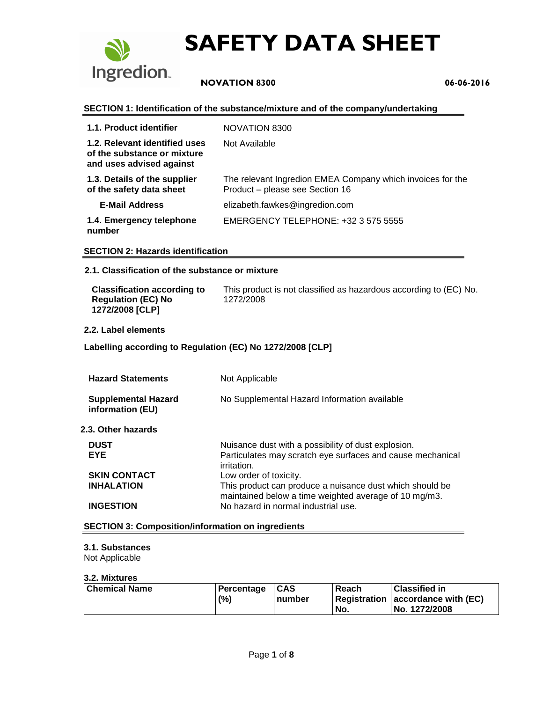

# **NOVATION 8300 06-06-2016**

#### **SECTION 1: Identification of the substance/mixture and of the company/undertaking**

| 1.1. Product identifier                                                                  | NOVATION 8300                                                                                 |
|------------------------------------------------------------------------------------------|-----------------------------------------------------------------------------------------------|
| 1.2. Relevant identified uses<br>of the substance or mixture<br>and uses advised against | Not Available                                                                                 |
| 1.3. Details of the supplier<br>of the safety data sheet                                 | The relevant Ingredion EMEA Company which invoices for the<br>Product - please see Section 16 |
| <b>E-Mail Address</b>                                                                    | elizabeth.fawkes@ingredion.com                                                                |
| 1.4. Emergency telephone<br>number                                                       | EMERGENCY TELEPHONE: +32 3 575 5555                                                           |

#### **SECTION 2: Hazards identification**

### **2.1. Classification of the substance or mixture**

| <b>Classification according to</b>           | This product is not classified as hazardous according to (EC) No. |
|----------------------------------------------|-------------------------------------------------------------------|
| <b>Regulation (EC) No</b><br>1272/2008 [CLP] | 1272/2008                                                         |

#### **2.2. Label elements**

### **Labelling according to Regulation (EC) No 1272/2008 [CLP]**

| <b>Hazard Statements</b>                       | Not Applicable                                                                                                                   |
|------------------------------------------------|----------------------------------------------------------------------------------------------------------------------------------|
| <b>Supplemental Hazard</b><br>information (EU) | No Supplemental Hazard Information available                                                                                     |
| 2.3. Other hazards                             |                                                                                                                                  |
| <b>DUST</b><br><b>EYE</b>                      | Nuisance dust with a possibility of dust explosion.<br>Particulates may scratch eye surfaces and cause mechanical<br>irritation. |
| <b>SKIN CONTACT</b>                            | Low order of toxicity.                                                                                                           |
| <b>INHALATION</b>                              | This product can produce a nuisance dust which should be<br>maintained below a time weighted average of 10 mg/m3.                |
| <b>INGESTION</b>                               | No hazard in normal industrial use.                                                                                              |

#### **SECTION 3: Composition/information on ingredients**

## **3.1. Substances**

Not Applicable

#### **3.2. Mixtures**

| Chemical Name | Percentage | $\mathsf{ICAS}$ | Reach | <b>Classified in</b>              |
|---------------|------------|-----------------|-------|-----------------------------------|
|               | (%)        | number          |       | Registration accordance with (EC) |
|               |            |                 | No.   | No. 1272/2008                     |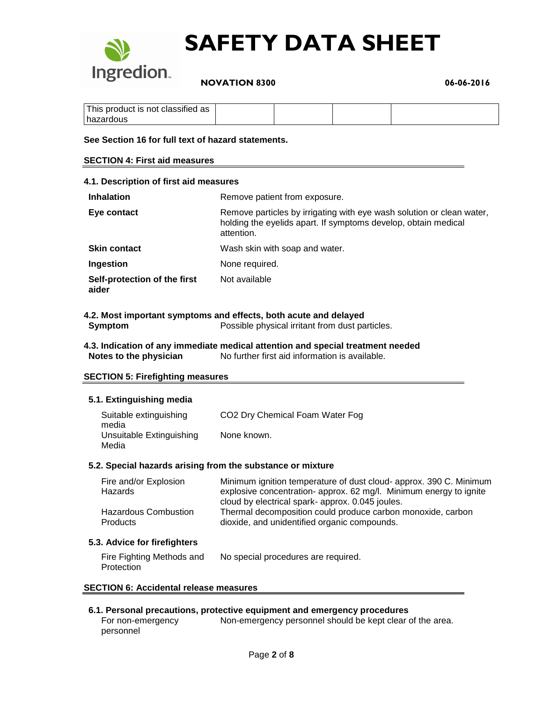

 **NOVATION 8300 06-06-2016**

| This product is not classified as |  |  |
|-----------------------------------|--|--|
| hazardous                         |  |  |

#### **See Section 16 for full text of hazard statements.**

#### **SECTION 4: First aid measures**

| 4.1. Description of first aid measures |                                                                                                                                                       |  |
|----------------------------------------|-------------------------------------------------------------------------------------------------------------------------------------------------------|--|
| <b>Inhalation</b>                      | Remove patient from exposure.                                                                                                                         |  |
| Eye contact                            | Remove particles by irrigating with eye wash solution or clean water,<br>holding the eyelids apart. If symptoms develop, obtain medical<br>attention. |  |
| <b>Skin contact</b>                    | Wash skin with soap and water.                                                                                                                        |  |
| <b>Ingestion</b>                       | None required.                                                                                                                                        |  |
| Self-protection of the first<br>aider  | Not available                                                                                                                                         |  |

#### **4.2. Most important symptoms and effects, both acute and delayed Symptom** Possible physical irritant from dust particles.

**4.3. Indication of any immediate medical attention and special treatment needed Notes to the physician** No further first aid information is available.

#### **SECTION 5: Firefighting measures**

#### **5.1. Extinguishing media**

| Suitable extinguishing<br>media   | CO <sub>2</sub> Dry Chemical Foam Water Fog |
|-----------------------------------|---------------------------------------------|
| Unsuitable Extinguishing<br>Media | None known.                                 |

#### **5.2. Special hazards arising from the substance or mixture**

| Fire and/or Explosion                          | Minimum ignition temperature of dust cloud- approx. 390 C. Minimum                                                                                             |
|------------------------------------------------|----------------------------------------------------------------------------------------------------------------------------------------------------------------|
| Hazards                                        | explosive concentration-approx. 62 mg/l. Minimum energy to ignite                                                                                              |
| <b>Hazardous Combustion</b><br><b>Products</b> | cloud by electrical spark-approx. 0.045 joules.<br>Thermal decomposition could produce carbon monoxide, carbon<br>dioxide, and unidentified organic compounds. |

#### **5.3. Advice for firefighters**

| Fire Fighting Methods and | No special procedures are required. |
|---------------------------|-------------------------------------|
| Protection                |                                     |

#### **SECTION 6: Accidental release measures**

#### **6.1. Personal precautions, protective equipment and emergency procedures**

For non-emergency personnel Non-emergency personnel should be kept clear of the area.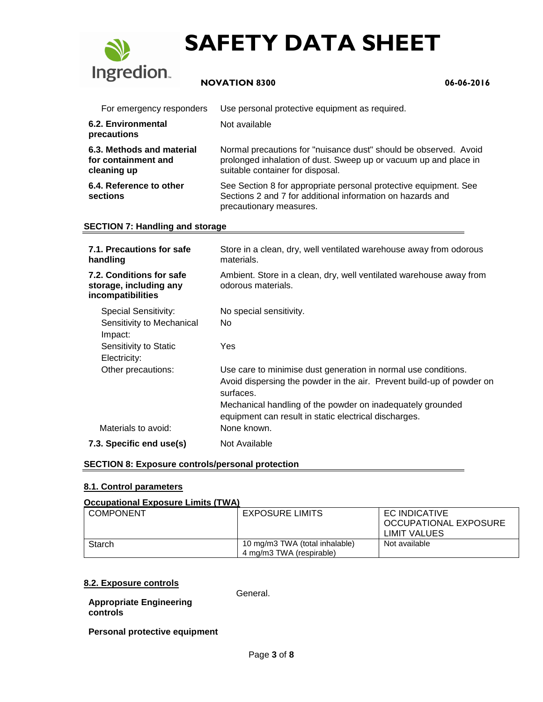

# **NOVATION 8300 06-06-2016**

| For emergency responders                                        | Use personal protective equipment as required.                                                                                                                           |
|-----------------------------------------------------------------|--------------------------------------------------------------------------------------------------------------------------------------------------------------------------|
| 6.2. Environmental<br>precautions                               | Not available                                                                                                                                                            |
| 6.3. Methods and material<br>for containment and<br>cleaning up | Normal precautions for "nuisance dust" should be observed. Avoid<br>prolonged inhalation of dust. Sweep up or vacuum up and place in<br>suitable container for disposal. |
| 6.4. Reference to other<br>sections                             | See Section 8 for appropriate personal protective equipment. See<br>Sections 2 and 7 for additional information on hazards and<br>precautionary measures.                |

### **SECTION 7: Handling and storage**

| Store in a clean, dry, well ventilated warehouse away from odorous<br>materials.                                                                     |
|------------------------------------------------------------------------------------------------------------------------------------------------------|
| Ambient. Store in a clean, dry, well ventilated warehouse away from<br>odorous materials.                                                            |
| No special sensitivity.                                                                                                                              |
| No.                                                                                                                                                  |
| Yes                                                                                                                                                  |
| Use care to minimise dust generation in normal use conditions.<br>Avoid dispersing the powder in the air. Prevent build-up of powder on<br>surfaces. |
| Mechanical handling of the powder on inadequately grounded<br>equipment can result in static electrical discharges.                                  |
| None known.                                                                                                                                          |
| Not Available                                                                                                                                        |
|                                                                                                                                                      |

### **SECTION 8: Exposure controls/personal protection**

#### **8.1. Control parameters**

#### **Occupational Exposure Limits (TWA)**

| <b>COMPONENT</b> | <b>EXPOSURE LIMITS</b>         | EC INDICATIVE         |
|------------------|--------------------------------|-----------------------|
|                  |                                | OCCUPATIONAL EXPOSURE |
|                  |                                | LIMIT VALUES          |
| Starch           | 10 mg/m3 TWA (total inhalable) | Not available         |
|                  | 4 mg/m3 TWA (respirable)       |                       |

#### **8.2. Exposure controls**

**Appropriate Engineering** 

General.

**controls**

**Personal protective equipment**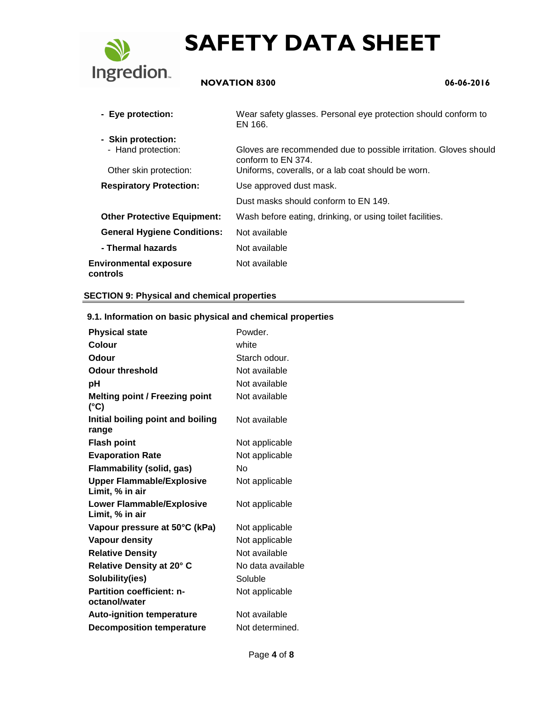

# **NOVATION 8300 06-06-2016**

| - Eye protection:                         | Wear safety glasses. Personal eye protection should conform to<br>EN 166.              |
|-------------------------------------------|----------------------------------------------------------------------------------------|
| - Skin protection:                        |                                                                                        |
| - Hand protection:                        | Gloves are recommended due to possible irritation. Gloves should<br>conform to EN 374. |
| Other skin protection:                    | Uniforms, coveralls, or a lab coat should be worn.                                     |
| <b>Respiratory Protection:</b>            | Use approved dust mask.                                                                |
|                                           | Dust masks should conform to EN 149.                                                   |
| <b>Other Protective Equipment:</b>        | Wash before eating, drinking, or using toilet facilities.                              |
| <b>General Hygiene Conditions:</b>        | Not available                                                                          |
| - Thermal hazards                         | Not available                                                                          |
| <b>Environmental exposure</b><br>controls | Not available                                                                          |

### **SECTION 9: Physical and chemical properties**

| 9. 1. miorination on basic privsical and chemical properties |                   |
|--------------------------------------------------------------|-------------------|
| <b>Physical state</b>                                        | Powder.           |
| Colour                                                       | white             |
| <b>Odour</b>                                                 | Starch odour.     |
| <b>Odour threshold</b>                                       | Not available     |
| рH                                                           | Not available     |
| <b>Melting point / Freezing point</b><br>(°C)                | Not available     |
| Initial boiling point and boiling<br>range                   | Not available     |
| <b>Flash point</b>                                           | Not applicable    |
| <b>Evaporation Rate</b>                                      | Not applicable    |
| <b>Flammability (solid, gas)</b>                             | Nο                |
| <b>Upper Flammable/Explosive</b><br>Limit, % in air          | Not applicable    |
| <b>Lower Flammable/Explosive</b><br>Limit, % in air          | Not applicable    |
| Vapour pressure at 50°C (kPa)                                | Not applicable    |
| <b>Vapour density</b>                                        | Not applicable    |
| <b>Relative Density</b>                                      | Not available     |
| Relative Density at 20° C                                    | No data available |
| Solubility(ies)                                              | Soluble           |
| <b>Partition coefficient: n-</b><br>octanol/water            | Not applicable    |
| <b>Auto-ignition temperature</b>                             | Not available     |
| <b>Decomposition temperature</b>                             | Not determined.   |

# **9.1. Information on basic physical and chemical properties**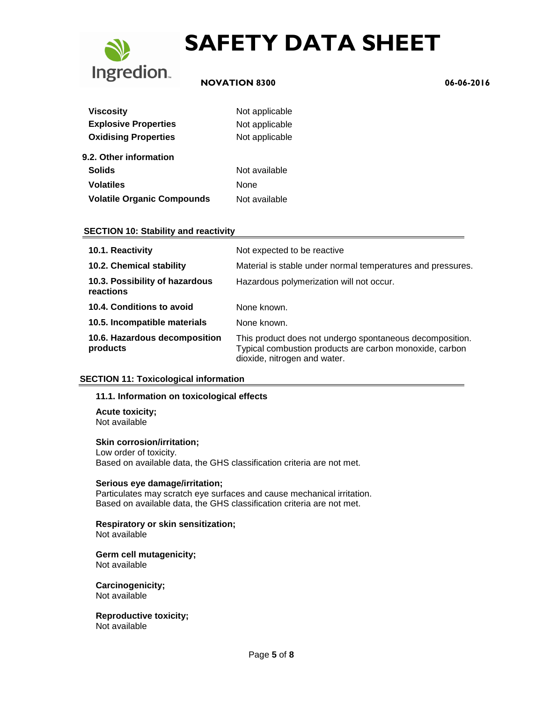

# **NOVATION 8300 06-06-2016**

| <b>Viscosity</b>                  | Not applicable |
|-----------------------------------|----------------|
| <b>Explosive Properties</b>       | Not applicable |
| <b>Oxidising Properties</b>       | Not applicable |
| 9.2. Other information            |                |
| <b>Solids</b>                     | Not available  |
| <b>Volatiles</b>                  | None           |
| <b>Volatile Organic Compounds</b> | Not available  |

### **SECTION 10: Stability and reactivity**

| 10.1. Reactivity                            | Not expected to be reactive                                                                                                                         |
|---------------------------------------------|-----------------------------------------------------------------------------------------------------------------------------------------------------|
| 10.2. Chemical stability                    | Material is stable under normal temperatures and pressures.                                                                                         |
| 10.3. Possibility of hazardous<br>reactions | Hazardous polymerization will not occur.                                                                                                            |
| 10.4. Conditions to avoid                   | None known.                                                                                                                                         |
| 10.5. Incompatible materials                | None known.                                                                                                                                         |
| 10.6. Hazardous decomposition<br>products   | This product does not undergo spontaneous decomposition.<br>Typical combustion products are carbon monoxide, carbon<br>dioxide, nitrogen and water. |

## **SECTION 11: Toxicological information**

#### **11.1. Information on toxicological effects**

**Acute toxicity;** Not available

#### **Skin corrosion/irritation;**

Low order of toxicity. Based on available data, the GHS classification criteria are not met.

## **Serious eye damage/irritation;**

Particulates may scratch eye surfaces and cause mechanical irritation. Based on available data, the GHS classification criteria are not met.

# **Respiratory or skin sensitization;**

Not available

#### **Germ cell mutagenicity;** Not available

**Carcinogenicity;** Not available

**Reproductive toxicity;** Not available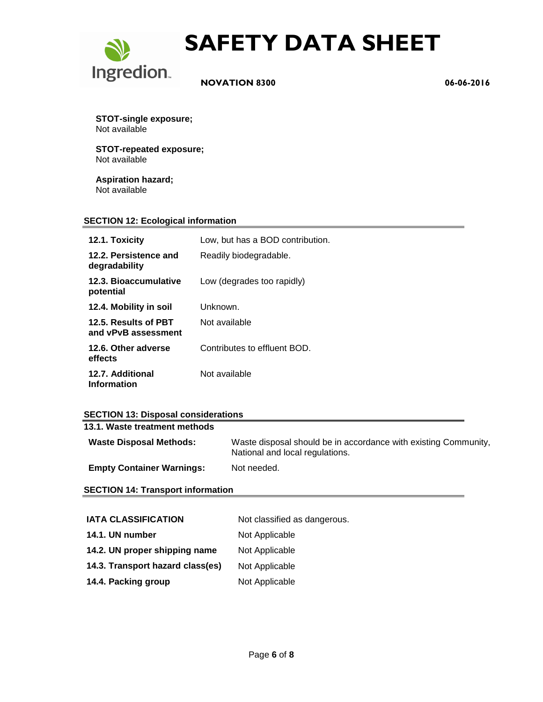

 **NOVATION 8300 06-06-2016**

**STOT-single exposure;** Not available

**STOT-repeated exposure;** Not available

**Aspiration hazard;** Not available

## **SECTION 12: Ecological information**

| 12.1. Toxicity                              | Low, but has a BOD contribution. |
|---------------------------------------------|----------------------------------|
| 12.2. Persistence and<br>degradability      | Readily biodegradable.           |
| 12.3. Bioaccumulative<br>potential          | Low (degrades too rapidly)       |
| 12.4. Mobility in soil                      | Unknown.                         |
| 12.5. Results of PBT<br>and vPvB assessment | Not available                    |
| 12.6. Other adverse<br>effects              | Contributes to effluent BOD.     |
| 12.7. Additional<br><b>Information</b>      | Not available                    |

## **SECTION 13: Disposal considerations**

| 13.1. Waste treatment methods    |                                                                                                    |
|----------------------------------|----------------------------------------------------------------------------------------------------|
| <b>Waste Disposal Methods:</b>   | Waste disposal should be in accordance with existing Community,<br>National and local regulations. |
| <b>Empty Container Warnings:</b> | Not needed.                                                                                        |

### **SECTION 14: Transport information**

| <b>IATA CLASSIFICATION</b>       | Not classified as dangerous. |
|----------------------------------|------------------------------|
| 14.1. UN number                  | Not Applicable               |
| 14.2. UN proper shipping name    | Not Applicable               |
| 14.3. Transport hazard class(es) | Not Applicable               |
| 14.4. Packing group              | Not Applicable               |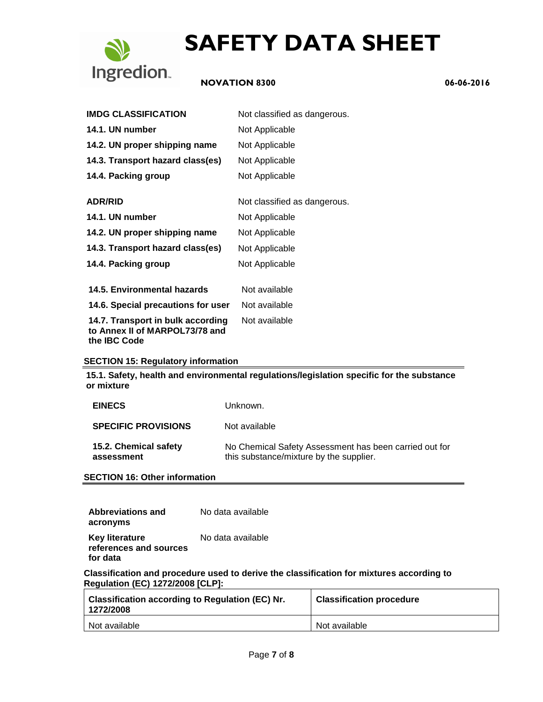

# **NOVATION 8300 06-06-2016**

| <b>IMDG CLASSIFICATION</b>                                                                 | Not classified as dangerous. |
|--------------------------------------------------------------------------------------------|------------------------------|
| 14.1. UN number                                                                            | Not Applicable               |
| 14.2. UN proper shipping name                                                              | Not Applicable               |
| 14.3. Transport hazard class(es)                                                           | Not Applicable               |
| 14.4. Packing group                                                                        | Not Applicable               |
| <b>ADR/RID</b>                                                                             | Not classified as dangerous. |
| 14.1. UN number                                                                            | Not Applicable               |
| 14.2. UN proper shipping name                                                              | Not Applicable               |
| 14.3. Transport hazard class(es)                                                           | Not Applicable               |
| 14.4. Packing group                                                                        | Not Applicable               |
| 14.5. Environmental hazards                                                                | Not available                |
| 14.6. Special precautions for user                                                         | Not available                |
| 14.7. Transport in bulk according<br>to Annex II of MARPOL73/78 and<br>the <b>IBC</b> Code | Not available                |

## **SECTION 15: Regulatory information**

**15.1. Safety, health and environmental regulations/legislation specific for the substance or mixture**

| <b>EINECS</b>                       | Unknown.                                                                                          |
|-------------------------------------|---------------------------------------------------------------------------------------------------|
| <b>SPECIFIC PROVISIONS</b>          | Not available                                                                                     |
| 15.2. Chemical safety<br>assessment | No Chemical Safety Assessment has been carried out for<br>this substance/mixture by the supplier. |

**SECTION 16: Other information**

| Abbreviations and                                           | No data available |
|-------------------------------------------------------------|-------------------|
| acronyms                                                    |                   |
| <b>Key literature</b><br>references and sources<br>for data | No data available |

**Classification and procedure used to derive the classification for mixtures according to Regulation (EC) 1272/2008 [CLP]:**

| <b>Classification according to Regulation (EC) Nr.</b><br>1272/2008 | <b>Classification procedure</b> |
|---------------------------------------------------------------------|---------------------------------|
| Not available                                                       | Not available                   |